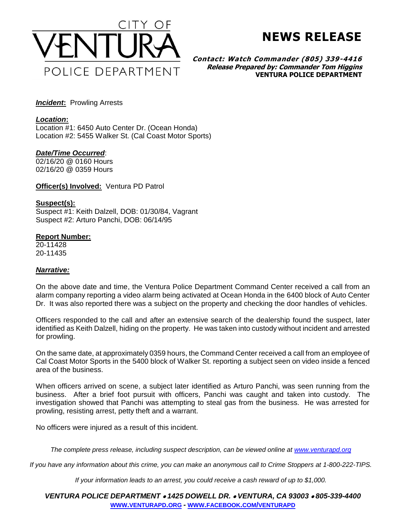

**NEWS RELEASE**

**Contact: Watch Commander (805) 339-4416 Release Prepared by: Commander Tom Higgins VENTURA POLICE DEPARTMENT**

*Incident***:** Prowling Arrests

# *Location***:**

Location #1: 6450 Auto Center Dr. (Ocean Honda) Location #2: 5455 Walker St. (Cal Coast Motor Sports)

# *Date/Time Occurred*:

02/16/20 @ 0160 Hours 02/16/20 @ 0359 Hours

**Officer(s) Involved:** Ventura PD Patrol

### **Suspect(s):**

Suspect #1: Keith Dalzell, DOB: 01/30/84, Vagrant Suspect #2: Arturo Panchi, DOB: 06/14/95

### **Report Number:**

20-11428 20-11435

# *Narrative:*

On the above date and time, the Ventura Police Department Command Center received a call from an alarm company reporting a video alarm being activated at Ocean Honda in the 6400 block of Auto Center Dr. It was also reported there was a subject on the property and checking the door handles of vehicles.

Officers responded to the call and after an extensive search of the dealership found the suspect, later identified as Keith Dalzell, hiding on the property. He was taken into custody without incident and arrested for prowling.

On the same date, at approximately 0359 hours, the Command Center received a call from an employee of Cal Coast Motor Sports in the 5400 block of Walker St. reporting a subject seen on video inside a fenced area of the business.

When officers arrived on scene, a subject later identified as Arturo Panchi, was seen running from the business. After a brief foot pursuit with officers, Panchi was caught and taken into custody. The investigation showed that Panchi was attempting to steal gas from the business. He was arrested for prowling, resisting arrest, petty theft and a warrant.

No officers were injured as a result of this incident.

*The complete press release, including suspect description, can be viewed online at [www.venturapd.org](http://www.venturapd.org/)*

*If you have any information about this crime, you can make an anonymous call to Crime Stoppers at 1-800-222-TIPS.*

*If your information leads to an arrest, you could receive a cash reward of up to \$1,000.*

*VENTURA POLICE DEPARTMENT 1425 DOWELL DR. VENTURA, CA 93003 805-339-4400* **WWW.[VENTURAPD](http://www.venturapd.org/).ORG** *-* **WWW.FACEBOOK.COM/[VENTURAPD](http://www.facebook.com/venturapd)**